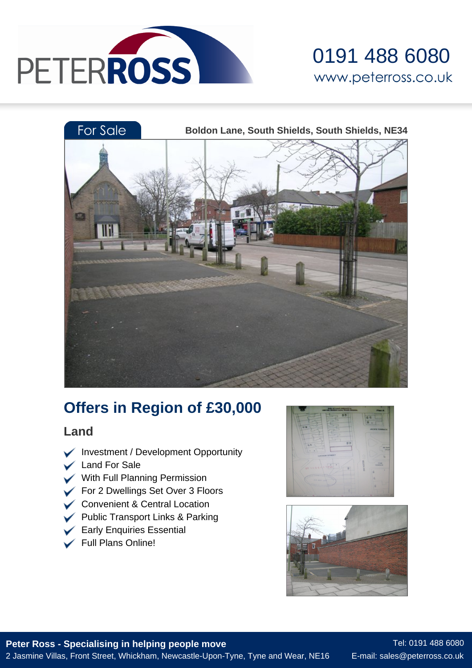





# **Offers in Region of £30,000**

### **Land**

- $\blacktriangleright$  Investment / Development Opportunity
- Land For Sale
- With Full Planning Permission
- For 2 Dwellings Set Over 3 Floors
- Convenient & Central Location
- Public Transport Links & Parking
- $\blacktriangleright$  Early Enquiries Essential
- Full Plans Online!



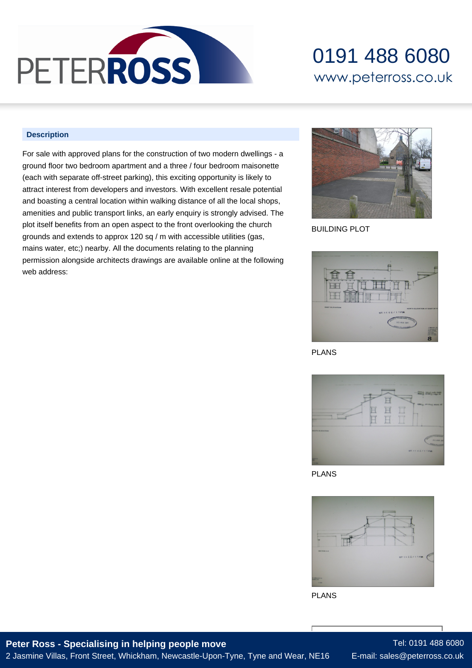

## 0191 488 6080 www.peterross.co.uk

#### **Description**

For sale with approved plans for the construction of two modern dwellings - a ground floor two bedroom apartment and a three / four bedroom maisonette (each with separate off-street parking), this exciting opportunity is likely to attract interest from developers and investors. With excellent resale potential and boasting a central location within walking distance of all the local shops, amenities and public transport links, an early enquiry is strongly advised. The plot itself benefits from an open aspect to the front overlooking the church grounds and extends to approx 120 sq / m with accessible utilities (gas, mains water, etc;) nearby. All the documents relating to the planning permission alongside architects drawings are available online at the following web address:



BUILDING PLOT



PLANS



PLANS



PLANS

#### **Peter Ross - Specialising in helping people move** 2 Jasmine Villas, Front Street, Whickham, Newcastle-Upon-Tyne, Tyne and Wear, NE16

Tel: 0191 488 6080 E-mail: sales@peterross.co.uk